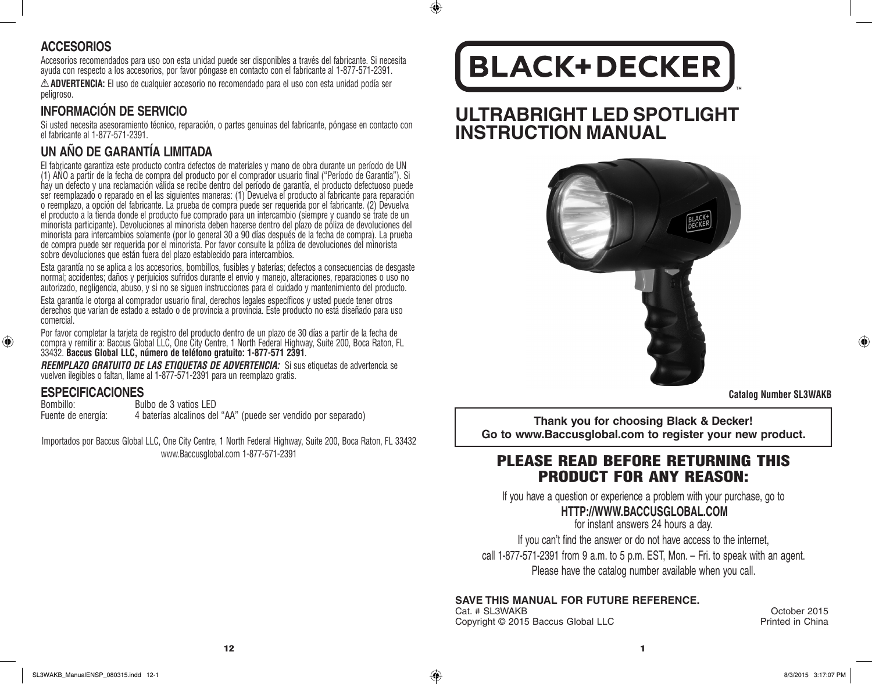#### **ACCESORIOS**

Accesorios recomendados para uso con esta unidad puede ser disponibles a través del fabricante. Si necesita ayuda con respecto a los accesorios, por favor póngase en contacto con el fabricante al 1-877-571-2391.

**ADVERTENCIA:** El uso de cualquier accesorio no recomendado para el uso con esta unidad podía ser peligroso.

## **INFORMACIÓN DE SERVICIO**

Si usted necesita asesoramiento técnico, reparación, o partes genuinas del fabricante, póngase en contacto con el fabricante al 1-877-571-2391.

## **UN AÑO DE GARANTÍA LIMITADA**

El fabricante garantiza este producto contra defectos de materiales y mano de obra durante un período de UN (1) AÑO a partir de la fecha de compra del producto por el comprador usuario final ("Período de Garantía"). Si hay un defecto y una reclamación válida se recibe dentro del período de garantía, el producto defectuoso puede ser reemplazado o reparado en el las siguientes maneras: (1) Devuelva el producto al fabricante para reparación o reemplazo, a opción del fabricante. La prueba de compra puede ser requerida por el fabricante. (2) Devuelva el producto a la tienda donde el producto fue comprado para un intercambio (siempre y cuando se trate de un minorista participante). Devoluciones al minorista deben hacerse dentro del plazo de póliza de devoluciones del minorista para intercambios solamente (por lo general 30 a 90 días después de la fecha de compra). La prueba de compra puede ser requerida por el minorista. Por favor consulte la póliza de devoluciones del minorista sobre devoluciones que están fuera del plazo establecido para intercambios.

Esta garantía no se aplica a los accesorios, bombillos, fusibles y baterías; defectos a consecuencias de desgaste normal; accidentes; daños y perjuicios sufridos durante el envío y manejo, alteraciones, reparaciones o uso no autorizado, negligencia, abuso, y si no se siguen instrucciones para el cuidado y mantenimiento del producto.

Esta garantía le otorga al comprador usuario final, derechos legales específicos y usted puede tener otros derechos que varían de estado a estado o de provincia a provincia. Este producto no está diseñado para uso comercial.

Por favor completar la tarjeta de registro del producto dentro de un plazo de 30 días a partir de la fecha de compra y remitir a: Baccus Global LLC, One City Centre, 1 North Federal Highway, Suite 200, Boca Raton, FL 33432. **Baccus Global LLC, número de teléfono gratuito: 1-877-571 2391**.

*REEMPLAZO GRATUITO DE LAS ETIQUETAS DE ADVERTENCIA:* Si sus etiquetas de advertencia se vuelven ilegibles o faltan, llame al 1-877-571-2391 para un reemplazo gratis.

# **ESPECIFICACIONES**<br>Bombillo: Bu

⊕

Bombillo:<br>
Fuente de energía: 4 baterías alcalinos de 4 baterías alcalinos del "AA" (puede ser vendido por separado)

Importados por Baccus Global LLC, One City Centre, 1 North Federal Highway, Suite 200, Boca Raton, FL 33432 www.Baccusglobal.com 1-877-571-2391

# **BLACK+DECKER**

 $\bigcirc$ 

**ULTRABRIGHT LED SPOTLIGHT INSTRUCTION MANUAL**



**Catalog Number SL3WAKB**

⊕

**Thank you for choosing Black & Decker! Go to www.Baccusglobal.com to register your new product.**

## PLEASE READ BEFORE RETURNING THIS PRODUCT FOR ANY REASON:

If you have a question or experience a problem with your purchase, go to

#### **HTTP://WWW.BACCUSGLOBAL.COM**

for instant answers 24 hours a day. If you can't find the answer or do not have access to the internet, call 1-877-571-2391 from 9 a.m. to 5 p.m. EST, Mon. – Fri. to speak with an agent. Please have the catalog number available when you call.

#### **SAVE THIS MANUAL FOR FUTURE REFERENCE.**

Cat. # SL3WAKB October 2015 Copyright © 2015 Baccus Global LLC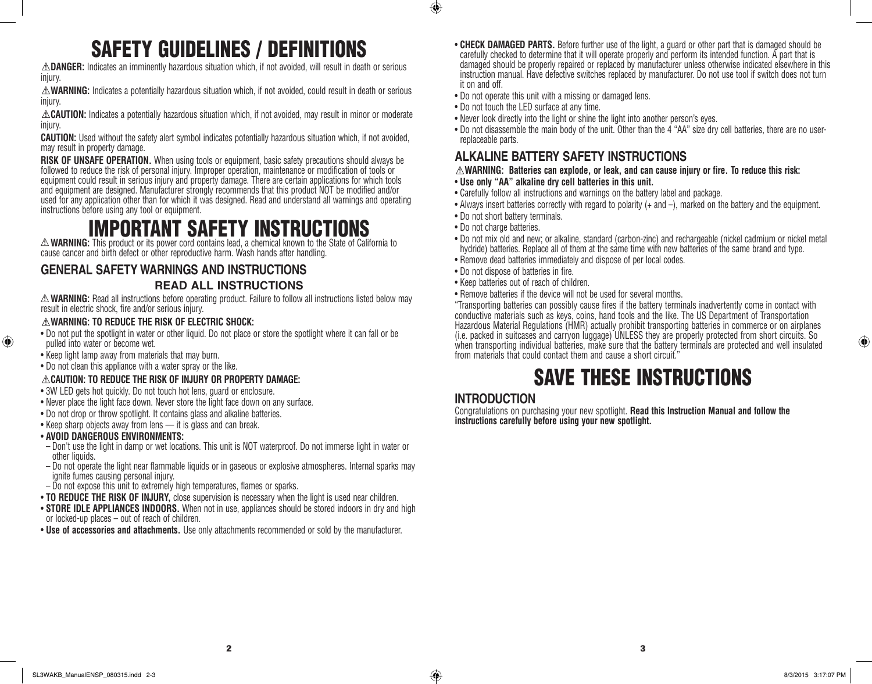# SAFETY GUIDELINES / DEFINITIONS

**DANGER:** Indicates an imminently hazardous situation which, if not avoided, will result in death or serious injury.

**WARNING:** Indicates a potentially hazardous situation which, if not avoided, could result in death or serious injury.

**CAUTION:** Indicates a potentially hazardous situation which, if not avoided, may result in minor or moderate injury.

**CAUTION:** Used without the safety alert symbol indicates potentially hazardous situation which, if not avoided, may result in property damage.

**RISK OF UNSAFE OPERATION.** When using tools or equipment, basic safety precautions should always be followed to reduce the risk of personal injury. Improper operation, maintenance or modification of tools or equipment could result in serious injury and property damage. There are certain applications for which tools and equipment are designed. Manufacturer strongly recommends that this product NOT be modified and/or used for any application other than for which it was designed. Read and understand all warnings and operating instructions before using any tool or equipment.

# **IMPORTANT SAFETY INSTRU**

**WARNING:** This product or its power cord contains lead, a chemical known to the State of California to cause cancer and birth defect or other reproductive harm. Wash hands after handling.

# **GENERAL SAFETY WARNINGS AND INSTRUCTIONS**

#### **READ ALL INSTRUCTIONS**

**WARNING:** Read all instructions before operating product. Failure to follow all instructions listed below may result in electric shock, fire and/or serious injury.

#### **WARNING: TO REDUCE THE RISK OF ELECTRIC SHOCK:**

- Do not put the spotlight in water or other liquid. Do not place or store the spotlight where it can fall or be pulled into water or become wet.
- Keep light lamp away from materials that may burn.
- Do not clean this appliance with a water spray or the like.

#### **CAUTION: TO REDUCE THE RISK OF INJURY OR PROPERTY DAMAGE:**

- 3W LED gets hot quickly. Do not touch hot lens, guard or enclosure.
- Never place the light face down. Never store the light face down on any surface.
- Do not drop or throw spotlight. It contains glass and alkaline batteries.
- Keep sharp objects away from lens it is glass and can break.

#### • **AVOID DANGEROUS ENVIRONMENTS:**

⊕

- Don't use the light in damp or wet locations. This unit is NOT waterproof. Do not immerse light in water or other liquids.
- Do not operate the light near flammable liquids or in gaseous or explosive atmospheres. Internal sparks may ignite fumes causing personal injury.
- Do not expose this unit to extremely high temperatures, flames or sparks.
- **TO REDUCE THE RISK OF INJURY**, close supervision is necessary when the light is used near children.
- **STORE IDLE APPLIANCES INDOORS.** When not in use, appliances should be stored indoors in dry and high or locked-up places – out of reach of children.
- **Use of accessories and attachments.** Use only attachments recommended or sold by the manufacturer.
- **CHECK DAMAGED PARTS.** Before further use of the light, a guard or other part that is damaged should be carefully checked to determine that it will operate properly and perform its intended function. A part that is damaged should be properly repaired or replaced by manufacturer unless otherwise indicated elsewhere in this instruction manual. Have defective switches replaced by manufacturer. Do not use tool if switch does not turn it on and off.
- Do not operate this unit with a missing or damaged lens.
- Do not touch the LED surface at any time.
- Never look directly into the light or shine the light into another person's eyes.
- Do not disassemble the main body of the unit. Other than the 4 "AA" size dry cell batteries, there are no userreplaceable parts.

#### **ALKALINE BATTERY SAFETY INSTRUCTIONS**

- **WARNING: Batteries can explode, or leak, and can cause injury or fire. To reduce this risk:**
- **Use only "AA" alkaline dry cell batteries in this unit.**
- Carefully follow all instructions and warnings on the battery label and package.
- Always insert batteries correctly with regard to polarity (+ and –), marked on the battery and the equipment.
- Do not short battery terminals.
- Do not charge batteries.

 $\bigoplus$ 

- Do not mix old and new; or alkaline, standard (carbon-zinc) and rechargeable (nickel cadmium or nickel metal hydride) batteries. Replace all of them at the same time with new batteries of the same brand and type.
- Remove dead batteries immediately and dispose of per local codes.
- Do not dispose of batteries in fire.
- Keep batteries out of reach of children.
- Remove batteries if the device will not be used for several months.

"Transporting batteries can possibly cause fires if the battery terminals inadvertently come in contact with conductive materials such as keys, coins, hand tools and the like. The US Department of Transportation Hazardous Material Regulations (HMR) actually prohibit transporting batteries in commerce or on airplanes (i.e. packed in suitcases and carryon luggage) UNLESS they are properly protected from short circuits. So when transporting individual batteries, make sure that the battery terminals are protected and well insulated from materials that could contact them and cause a short circuit."

# SAVE THESE INSTRUCTIONS

## **INTRODUCTION**

Congratulations on purchasing your new spotlight. **Read this Instruction Manual and follow the instructions carefully before using your new spotlight.** 

⊕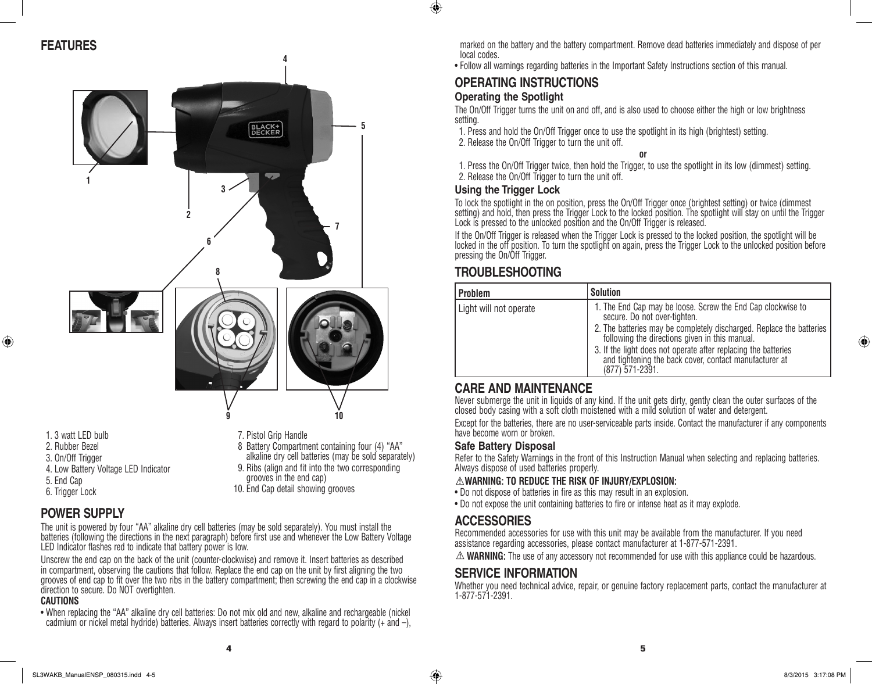

#### 1. 3 watt LED bulb

- 2. Rubber Bezel
- 3. On/Off Trigger

⊕

- 4. Low Battery Voltage LED Indicator
- 5. End Cap
- 6. Trigger Lock

## **POWER SUPPLY**

The unit is powered by four "AA" alkaline dry cell batteries (may be sold separately). You must install the batteries (following the directions in the next paragraph) before first use and whenever the Low Battery Voltage LED Indicator flashes red to indicate that battery power is low.

7. Pistol Grip Handle

grooves in the end cap) 10. End Cap detail showing grooves

8 Battery Compartment containing four (4) "AA" alkaline dry cell batteries (may be sold separately) 9. Ribs (align and fit into the two corresponding

Unscrew the end cap on the back of the unit (counter-clockwise) and remove it. Insert batteries as described in compartment, observing the cautions that follow. Replace the end cap on the unit by first aligning the two grooves of end cap to fit over the two ribs in the battery compartment; then screwing the end cap in a clockwise direction to secure. Do NOT overtighten.

#### **CAUTIONS**

• When replacing the "AA" alkaline dry cell batteries: Do not mix old and new, alkaline and rechargeable (nickel cadmium or nickel metal hydride) batteries. Always insert batteries correctly with regard to polarity (+ and –), marked on the battery and the battery compartment. Remove dead batteries immediately and dispose of per local codes.

• Follow all warnings regarding batteries in the Important Safety Instructions section of this manual.

#### **OPERATING INSTRUCTIONS Operating the Spotlight**

The On/Off Trigger turns the unit on and off, and is also used to choose either the high or low brightness setting.

1. Press and hold the On/Off Trigger once to use the spotlight in its high (brightest) setting. 2. Release the On/Off Trigger to turn the unit off.

**or**

1. Press the On/Off Trigger twice, then hold the Trigger, to use the spotlight in its low (dimmest) setting. 2. Release the On/Off Trigger to turn the unit off.

#### **Using the Trigger Lock**

 $\bigoplus$ 

To lock the spotlight in the on position, press the On/Off Trigger once (brightest setting) or twice (dimmest setting) and hold, then press the Trigger Lock to the locked position. The spotlight will stay on until the Trigger Lock is pressed to the unlocked position and the On/Off Trigger is released.

If the On/Off Trigger is released when the Trigger Lock is pressed to the locked position, the spotlight will be locked in the off position. To turn the spotlight on again, press the Trigger Lock to the unlocked position before pressing the On/Off Trigger.

## **TROUBLESHOOTING**

| <b>Problem</b>         | <b>Solution</b>                                                                                                                                                                                                                                                                                                                                                        |
|------------------------|------------------------------------------------------------------------------------------------------------------------------------------------------------------------------------------------------------------------------------------------------------------------------------------------------------------------------------------------------------------------|
| Light will not operate | 1. The End Cap may be loose. Screw the End Cap clockwise to<br>secure. Do not over-tighten.<br>2. The batteries may be completely discharged. Replace the batteries<br>following the directions given in this manual.<br>3. If the light does not operate after replacing the batteries<br>and tightening the back cover, contact manufacturer at<br>$(877)$ 571-2391. |

## **CARE AND MAINTENANCE**

Never submerge the unit in liquids of any kind. If the unit gets dirty, gently clean the outer surfaces of the closed body casing with a soft cloth moistened with a mild solution of water and detergent.

Except for the batteries, there are no user-serviceable parts inside. Contact the manufacturer if any components have become worn or broken.

#### **Safe Battery Disposal**

Refer to the Safety Warnings in the front of this Instruction Manual when selecting and replacing batteries. Always dispose of used batteries properly.

#### **WARNING: TO REDUCE THE RISK OF INJURY/EXPLOSION:**

- Do not dispose of batteries in fire as this may result in an explosion.
- Do not expose the unit containing batteries to fire or intense heat as it may explode.

## **ACCESSORIES**

Recommended accessories for use with this unit may be available from the manufacturer. If you need assistance regarding accessories, please contact manufacturer at 1-877-571-2391.

 $\triangle$  **WARNING:** The use of any accessory not recommended for use with this appliance could be hazardous.

#### **SERVICE INFORMATION**

Whether you need technical advice, repair, or genuine factory replacement parts, contact the manufacturer at 1-877-571-2391.

♠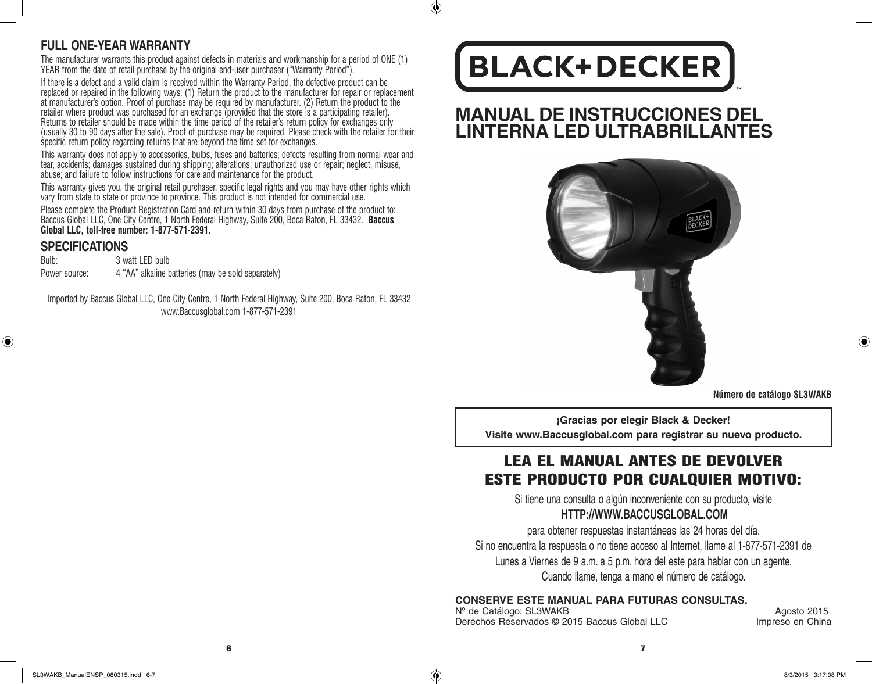#### **FULL ONE-YEAR WARRANTY**

The manufacturer warrants this product against defects in materials and workmanship for a period of ONE (1) YEAR from the date of retail purchase by the original end-user purchaser ("Warranty Period").

If there is a defect and a valid claim is received within the Warranty Period, the defective product can be replaced or repaired in the following ways: (1) Return the product to the manufacturer for repair or replacement at manufacturer's option. Proof of purchase may be required by manufacturer. (2) Return the product to the retailer where product was purchased for an exchange (provided that the store is a participating retailer). Returns to retailer should be made within the time period of the retailer's return policy for exchanges only (usually 30 to 90 days after the sale). Proof of purchase may be required. Please check with the retailer for their specific return policy regarding returns that are beyond the time set for exchanges.

This warranty does not apply to accessories, bulbs, fuses and batteries; defects resulting from normal wear and tear, accidents; damages sustained during shipping; alterations; unauthorized use or repair; neglect, misuse, abuse; and failure to follow instructions for care and maintenance for the product.

This warranty gives you, the original retail purchaser, specific legal rights and you may have other rights which vary from state to state or province to province. This product is not intended for commercial use.

Please complete the Product Registration Card and return within 30 days from purchase of the product to: Baccus Global LLC, One City Centre, 1 North Federal Highway, Suite 200, Boca Raton, FL 33432. **Baccus Global LLC, toll-free number: 1-877-571-2391.** 

#### **SPECIFICATIONS**

⊕

Bulb: 3 watt LED bulb Power source: 4 "AA" alkaline batteries (may be sold separately)

Imported by Baccus Global LLC, One City Centre, 1 North Federal Highway, Suite 200, Boca Raton, FL 33432 www.Baccusglobal.com 1-877-571-2391

# **BLACK+DECKER**

 $\bigcirc$ 

# **MANUAL DE INSTRUCCIONES DEL LINTERNA LED ULTRABRILLANTES**



**Número de catálogo SL3WAKB**

⊕

**¡Gracias por elegir Black & Decker! Visite www.Baccusglobal.com para registrar su nuevo producto.**

# LEA EL MANUAL ANTES DE DEVOLVER ESTE PRODUCTO POR CUALQUIER MOTIVO:

Si tiene una consulta o algún inconveniente con su producto, visite **HTTP://WWW.BACCUSGLOBAL.COM**

para obtener respuestas instantáneas las 24 horas del día. Si no encuentra la respuesta o no tiene acceso al Internet, llame al 1-877-571-2391 de Lunes a Viernes de 9 a.m. a 5 p.m. hora del este para hablar con un agente. Cuando llame, tenga a mano el número de catálogo.

**CONSERVE ESTE MANUAL PARA FUTURAS CONSULTAS.**

Nº de Catálogo: SL3WAKB<br>Derechos Reservados © 2015 Baccus Global LLC and all all provides on China Derechos Reservados © 2015 Baccus Global LLC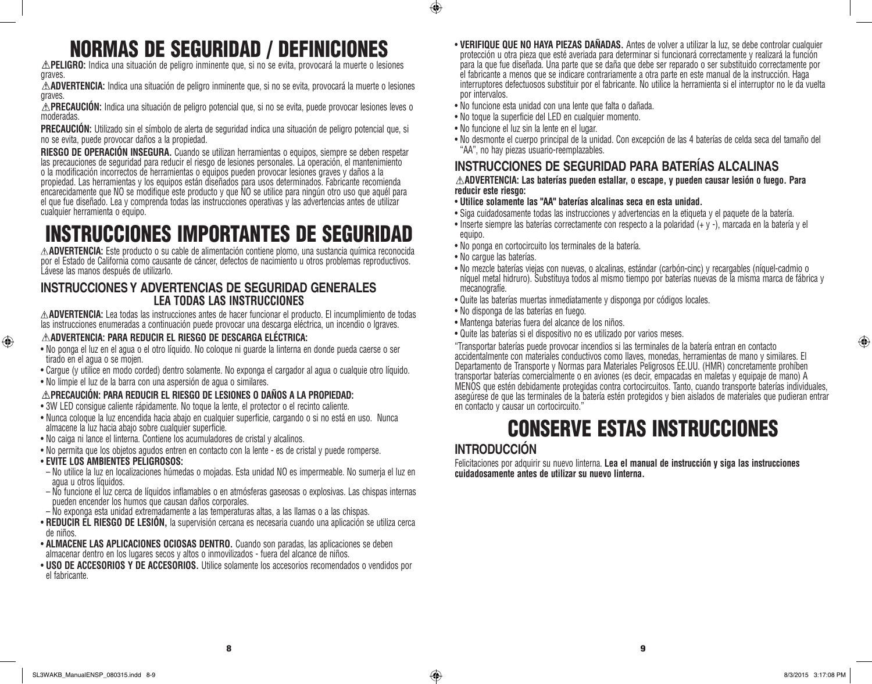# NORMAS DE SEGURIDAD / DEFINICIONES

**PELIGRO:** Indica una situación de peligro inminente que, si no se evita, provocará la muerte o lesiones graves.

**ADVERTENCIA:** Indica una situación de peligro inminente que, si no se evita, provocará la muerte o lesiones graves.

**PRECAUCIÓN:** Indica una situación de peligro potencial que, si no se evita, puede provocar lesiones leves o moderadas.

**PRECAUCIÓN:** Utilizado sin el símbolo de alerta de seguridad indica una situación de peligro potencial que, si no se evita, puede provocar daños a la propiedad.

**RIESGO DE OPERACIÓN INSEGURA.** Cuando se utilizan herramientas o equipos, siempre se deben respetar las precauciones de seguridad para reducir el riesgo de lesiones personales. La operación, el mantenimiento o la modificación incorrectos de herramientas o equipos pueden provocar lesiones graves y daños a la propiedad. Las herramientas y los equipos están diseñados para usos determinados. Fabricante recomienda encarecidamente que NO se modifique este producto y que NO se utilice para ningún otro uso que aquél para el que fue diseñado. Lea y comprenda todas las instrucciones operativas y las advertencias antes de utilizar cualquier herramienta o equipo.

# INSTRUCCIONES IMPORTANTES DE SEGURIDAD

**ADVERTENCIA:** Este producto o su cable de alimentación contiene plomo, una sustancia química reconocida por el Estado de California como causante de cáncer, defectos de nacimiento u otros problemas reproductivos. Lávese las manos después de utilizarlo.

#### **INSTRUCCIONES Y ADVERTENCIAS DE SEGURIDAD GENERALES LEA TODAS LAS INSTRUCCIONES**

**ADVERTENCIA:** Lea todas las instrucciones antes de hacer funcionar el producto. El incumplimiento de todas las instrucciones enumeradas a continuación puede provocar una descarga eléctrica, un incendio o lgraves.

#### **ADVERTENCIA: PARA REDUCIR EL RIESGO DE DESCARGA ELÉCTRICA:**

- No ponga el luz en el agua o el otro líquido. No coloque ni guarde la linterna en donde pueda caerse o ser tirado en el agua o se mojen.
- Cargue (y utilice en modo corded) dentro solamente. No exponga el cargador al agua o cualquie otro líquido.
- No limpie el luz de la barra con una aspersión de agua o similares.

#### **PRECAUCIÓN: PARA REDUCIR EL RIESGO DE LESIONES O DAÑOS A LA PROPIEDAD:**

- 3W LED consigue caliente rápidamente. No toque la lente, el protector o el recinto caliente.
- Nunca coloque la luz encendida hacia abajo en cualquier superficie, cargando o si no está en uso. Nunca almacene la luz hacia abajo sobre cualquier superficie.
- No caiga ni lance el linterna. Contiene los acumuladores de cristal y alcalinos.
- No permita que los objetos agudos entren en contacto con la lente es de cristal y puede romperse.
- **EVITE LOS AMBIENTES PELIGROSOS:**

⊕

- No utilice la luz en localizaciones húmedas o mojadas. Esta unidad NO es impermeable. No sumerja el luz en agua u otros líquidos.
- No funcione el luz cerca de líquidos inflamables o en atmósferas gaseosas o explosivas. Las chispas internas pueden encender los humos que causan daños corporales.
- No exponga esta unidad extremadamente a las temperaturas altas, a las llamas o a las chispas.
- **REDUCIR EL RIESGO DE LESIÓN,** la supervisión cercana es necesaria cuando una aplicación se utiliza cerca de niños.
- **ALMACENE LAS APLICACIONES OCIOSAS DENTRO.** Cuando son paradas, las aplicaciones se deben almacenar dentro en los lugares secos y altos o inmovilizados - fuera del alcance de niños.
- **USO DE ACCESORIOS Y DE ACCESORIOS.** Utilice solamente los accesorios recomendados o vendidos por el fabricante.
- **VERIFIQUE QUE NO HAYA PIEZAS DAÑADAS.** Antes de volver a utilizar la luz, se debe controlar cualquier protección u otra pieza que esté averiada para determinar si funcionará correctamente y realizará la función para la que fue diseñada. Una parte que se daña que debe ser reparado o ser substituido correctamente por el fabricante a menos que se indicare contrariamente a otra parte en este manual de la instrucción. Haga interruptores defectuosos substituir por el fabricante. No utilice la herramienta si el interruptor no le da vuelta por intervalos.
- No funcione esta unidad con una lente que falta o dañada.
- No toque la superficie del LED en cualquier momento.
- No funcione el luz sin la lente en el lugar.
- No desmonte el cuerpo principal de la unidad. Con excepción de las 4 baterías de celda seca del tamaño del "AA", no hay piezas usuario-reemplazables.

## **INSTRUCCIONES DE SEGURIDAD PARA BATERÍAS ALCALINAS**

#### **ADVERTENCIA: Las baterías pueden estallar, o escape, y pueden causar lesión o fuego. Para reducir este riesgo:**

- **Utilice solamente las "AA" baterías alcalinas seca en esta unidad.**
- Siga cuidadosamente todas las instrucciones y advertencias en la etiqueta y el paquete de la batería.
- Inserte siempre las baterías correctamente con respecto a la polaridad (+ y -), marcada en la batería y el equipo.
- No ponga en cortocircuito los terminales de la batería.
- No cargue las baterías.

 $\bigoplus$ 

- No mezcle baterías viejas con nuevas, o alcalinas, estándar (carbón-cinc) y recargables (níquel-cadmio o níquel metal hidruro). Substituya todos al mismo tiempo por baterías nuevas de la misma marca de fábrica y mecanografíe.
- Quite las baterías muertas inmediatamente y disponga por códigos locales.
- No disponga de las baterías en fuego.
- Mantenga baterias fuera del alcance de los niños.
- Quite las baterías si el dispositivo no es utilizado por varios meses.

"Transportar baterías puede provocar incendios si las terminales de la batería entran en contacto accidentalmente con materiales conductivos como llaves, monedas, herramientas de mano y similares. El Departamento de Transporte y Normas para Materiales Peligrosos EE.UU. (HMR) concretamente prohíben transportar baterías comercialmente o en aviones (es decir, empacadas en maletas y equipaje de mano) A MENOS que estén debidamente protegidas contra cortocircuitos. Tanto, cuando transporte baterías individuales, asegúrese de que las terminales de la batería estén protegidos y bien aislados de materiales que pudieran entrar en contacto y causar un cortocircuito."

# CONSERVE ESTAS INSTRUCCIONES

#### **INTRODUCCIÓN**

Felicitaciones por adquirir su nuevo linterna. **Lea el manual de instrucción y siga las instrucciones cuidadosamente antes de utilizar su nuevo linterna.**

⊕

8 9